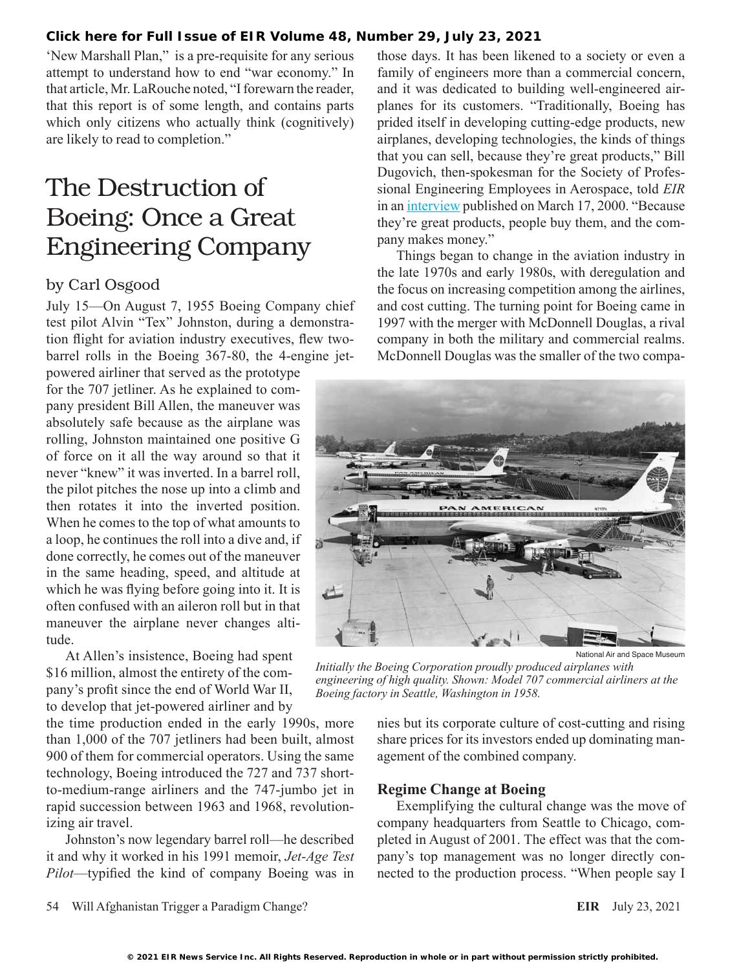#### **[Click here for Full Issue of EIR Volume 48, Number 29, July 23, 2021](http://www.larouchepub.com/eiw/public/2021/eirv48n29-20210723/index.html)**

'New Marshall Plan," is a pre-requisite for any serious attempt to understand how to end "war economy." In that article, Mr. LaRouche noted, "I forewarn the reader, that this report is of some length, and contains parts which only citizens who actually think (cognitively) are likely to read to completion."

# The Destruction of Boeing: Once a Great Engineering Company

### by Carl Osgood

July 15—On August 7, 1955 Boeing Company chief test pilot Alvin "Tex" Johnston, during a demonstration flight for aviation industry executives, flew twobarrel rolls in the Boeing 367-80, the 4-engine jet-

powered airliner that served as the prototype for the 707 jetliner. As he explained to company president Bill Allen, the maneuver was absolutely safe because as the airplane was rolling, Johnston maintained one positive G of force on it all the way around so that it never "knew" it was inverted. In a barrel roll, the pilot pitches the nose up into a climb and then rotates it into the inverted position. When he comes to the top of what amounts to a loop, he continues the roll into a dive and, if done correctly, he comes out of the maneuver in the same heading, speed, and altitude at which he was flying before going into it. It is often confused with an aileron roll but in that maneuver the airplane never changes altitude.

At Allen's insistence, Boeing had spent \$16 million, almost the entirety of the company's profit since the end of World War II, to develop that jet-powered airliner and by

the time production ended in the early 1990s, more than 1,000 of the 707 jetliners had been built, almost 900 of them for commercial operators. Using the same technology, Boeing introduced the 727 and 737 shortto-medium-range airliners and the 747-jumbo jet in rapid succession between 1963 and 1968, revolutionizing air travel.

Johnston's now legendary barrel roll—he described it and why it worked in his 1991 memoir, *Jet-Age Test Pilot*—typified the kind of company Boeing was in those days. It has been likened to a society or even a family of engineers more than a commercial concern, and it was dedicated to building well-engineered airplanes for its customers. "Traditionally, Boeing has prided itself in developing cutting-edge products, new airplanes, developing technologies, the kinds of things that you can sell, because they're great products," Bill Dugovich, then-spokesman for the Society of Professional Engineering Employees in Aerospace, told *EIR* in an [interview](https://larouchepub.com/eiw/public/2000/eirv27n11-20000317/eirv27n11-20000317_011-shareholder_value_is_destroying.pdf) published on March 17, 2000. "Because they're great products, people buy them, and the company makes money."

Things began to change in the aviation industry in the late 1970s and early 1980s, with deregulation and the focus on increasing competition among the airlines, and cost cutting. The turning point for Boeing came in 1997 with the merger with McDonnell Douglas, a rival company in both the military and commercial realms. McDonnell Douglas was the smaller of the two compa-



National Air and Space Museum

*Initially the Boeing Corporation proudly produced airplanes with engineering of high quality. Shown: Model 707 commercial airliners at the Boeing factory in Seattle, Washington in 1958.*

nies but its corporate culture of cost-cutting and rising share prices for its investors ended up dominating management of the combined company.

#### **Regime Change at Boeing**

Exemplifying the cultural change was the move of company headquarters from Seattle to Chicago, completed in August of 2001. The effect was that the company's top management was no longer directly connected to the production process. "When people say I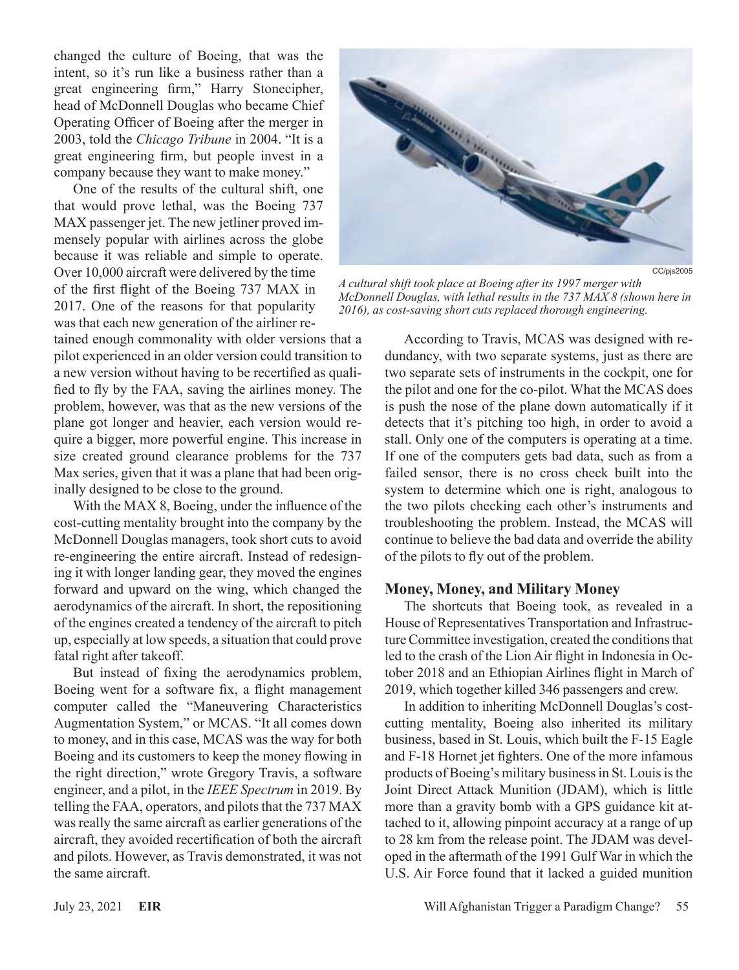changed the culture of Boeing, that was the intent, so it's run like a business rather than a great engineering firm," Harry Stonecipher, head of McDonnell Douglas who became Chief Operating Officer of Boeing after the merger in 2003, told the *Chicago Tribune* in 2004. "It is a great engineering firm, but people invest in a company because they want to make money."

One of the results of the cultural shift, one that would prove lethal, was the Boeing 737 MAX passenger jet. The new jetliner proved immensely popular with airlines across the globe because it was reliable and simple to operate. Over 10,000 aircraft were delivered by the time of the first flight of the Boeing 737 MAX in 2017. One of the reasons for that popularity was that each new generation of the airliner re-

tained enough commonality with older versions that a pilot experienced in an older version could transition to a new version without having to be recertified as qualified to fly by the FAA, saving the airlines money. The problem, however, was that as the new versions of the plane got longer and heavier, each version would require a bigger, more powerful engine. This increase in size created ground clearance problems for the 737 Max series, given that it was a plane that had been originally designed to be close to the ground.

With the MAX 8, Boeing, under the influence of the cost-cutting mentality brought into the company by the McDonnell Douglas managers, took short cuts to avoid re-engineering the entire aircraft. Instead of redesigning it with longer landing gear, they moved the engines forward and upward on the wing, which changed the aerodynamics of the aircraft. In short, the repositioning of the engines created a tendency of the aircraft to pitch up, especially at low speeds, a situation that could prove fatal right after takeoff.

But instead of fixing the aerodynamics problem, Boeing went for a software fix, a flight management computer called the "Maneuvering Characteristics Augmentation System," or MCAS. "It all comes down to money, and in this case, MCAS was the way for both Boeing and its customers to keep the money flowing in the right direction," wrote Gregory Travis, a software engineer, and a pilot, in the *IEEE Spectrum* in 2019. By telling the FAA, operators, and pilots that the 737 MAX was really the same aircraft as earlier generations of the aircraft, they avoided recertification of both the aircraft and pilots. However, as Travis demonstrated, it was not the same aircraft.



*A cultural shift took place at Boeing after its 1997 merger with McDonnell Douglas, with lethal results in the 737 MAX 8 (shown here in 2016), as cost-saving short cuts replaced thorough engineering.*

According to Travis, MCAS was designed with redundancy, with two separate systems, just as there are two separate sets of instruments in the cockpit, one for the pilot and one for the co-pilot. What the MCAS does is push the nose of the plane down automatically if it detects that it's pitching too high, in order to avoid a stall. Only one of the computers is operating at a time. If one of the computers gets bad data, such as from a failed sensor, there is no cross check built into the system to determine which one is right, analogous to the two pilots checking each other's instruments and troubleshooting the problem. Instead, the MCAS will continue to believe the bad data and override the ability of the pilots to fly out of the problem.

#### **Money, Money, and Military Money**

The shortcuts that Boeing took, as revealed in a House of Representatives Transportation and Infrastructure Committee investigation, created the conditions that led to the crash of the Lion Air flight in Indonesia in October 2018 and an Ethiopian Airlines flight in March of 2019, which together killed 346 passengers and crew.

In addition to inheriting McDonnell Douglas's costcutting mentality, Boeing also inherited its military business, based in St. Louis, which built the F-15 Eagle and F-18 Hornet jet fighters. One of the more infamous products of Boeing's military business in St. Louis is the Joint Direct Attack Munition (JDAM), which is little more than a gravity bomb with a GPS guidance kit attached to it, allowing pinpoint accuracy at a range of up to 28 km from the release point. The JDAM was developed in the aftermath of the 1991 Gulf War in which the U.S. Air Force found that it lacked a guided munition